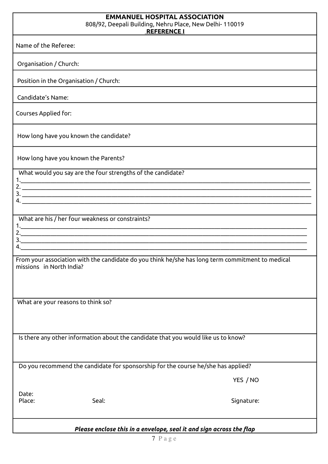## **EMMANUEL HOSPITAL ASSOCIATION** 808/92, Deepali Building, Nehru Place, New Delhi- 110019  **REFERENCE I**

Name of the Referee:

Organisation / Church:

Position in the Organisation / Church:

Candidate's Name:

Courses Applied for:

How long have you known the candidate?

How long have you known the Parents?

1.\_\_\_\_\_\_\_\_\_\_\_\_\_\_\_\_\_\_\_\_\_\_\_\_\_\_\_\_\_\_\_\_\_\_\_\_\_\_\_\_\_\_\_\_\_\_\_\_\_\_\_\_\_\_\_\_\_\_\_\_\_\_\_\_\_\_\_\_\_\_\_\_\_\_\_\_\_\_\_\_\_\_\_\_\_\_\_\_\_\_\_\_\_\_\_\_\_

What would you say are the four strengths of the candidate?

2. \_\_\_\_\_\_\_\_\_\_\_\_\_\_\_\_\_\_\_\_\_\_\_\_\_\_\_\_\_\_\_\_\_\_\_\_\_\_\_\_\_\_\_\_\_\_\_\_\_\_\_\_\_\_\_\_\_\_\_\_\_\_\_\_\_\_\_\_\_\_\_\_\_\_\_\_\_\_\_\_\_\_\_\_\_\_\_\_\_\_\_\_\_\_\_\_\_ 3. \_\_\_\_\_\_\_\_\_\_\_\_\_\_\_\_\_\_\_\_\_\_\_\_\_\_\_\_\_\_\_\_\_\_\_\_\_\_\_\_\_\_\_\_\_\_\_\_\_\_\_\_\_\_\_\_\_\_\_\_\_\_\_\_\_\_\_\_\_\_\_\_\_\_\_\_\_\_\_\_\_\_\_\_\_\_\_\_\_\_\_\_\_\_\_\_\_

What are his / her four weakness or constraints?

1.\_\_\_\_\_\_\_\_\_\_\_\_\_\_\_\_\_\_\_\_\_\_\_\_\_\_\_\_\_\_\_\_\_\_\_\_\_\_\_\_\_\_\_\_\_\_\_\_\_\_\_\_\_\_\_\_\_\_\_\_\_\_\_\_\_\_\_\_\_\_\_\_\_\_\_\_\_\_\_\_\_\_\_\_\_\_\_\_\_\_\_\_\_\_\_\_ 2.\_\_\_\_\_\_\_\_\_\_\_\_\_\_\_\_\_\_\_\_\_\_\_\_\_\_\_\_\_\_\_\_\_\_\_\_\_\_\_\_\_\_\_\_\_\_\_\_\_\_\_\_\_\_\_\_\_\_\_\_\_\_\_\_\_\_\_\_\_\_\_\_\_\_\_\_\_\_\_\_\_\_\_\_\_\_\_\_\_\_\_\_\_\_\_\_  $3.$ 

 $4.$ From your association with the candidate do you think he/she has long term commitment to medical

4.  $\frac{1}{2}$  . The contract of the contract of the contract of the contract of the contract of the contract of the contract of the contract of the contract of the contract of the contract of the contract of the contract o

What are your reasons to think so?

missions in North India?

Is there any other information about the candidate that you would like us to know?

Do you recommend the candidate for sponsorship for the course he/she has applied?

YES / NO

Date:

Place: Seal: Seal: Seal: Seal: Signature: Signature: Signature: Signature: Signature: Signature: Signature: Signature: Signature: Signature: Signature: Signature: Signature: Signature: Signature: Signature: Signature: Sign

*Please enclose this in a envelope, seal it and sign across the flap*